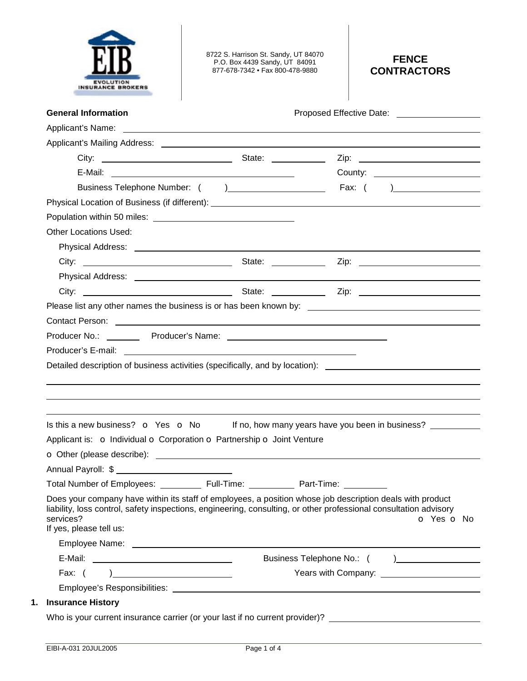

8722 S. Harrison St. Sandy, UT 84070 P.O. Box 4439 Sandy, UT 84091 877-678-7342 • Fax 800-478-9880

# **FENCE CONTRACTORS**

| <b>General Information</b>                                                                                             |                                                                                                                                                                                                                                              |
|------------------------------------------------------------------------------------------------------------------------|----------------------------------------------------------------------------------------------------------------------------------------------------------------------------------------------------------------------------------------------|
|                                                                                                                        |                                                                                                                                                                                                                                              |
| Applicant's Mailing Address: ______                                                                                    |                                                                                                                                                                                                                                              |
|                                                                                                                        |                                                                                                                                                                                                                                              |
|                                                                                                                        | County: _________________________                                                                                                                                                                                                            |
|                                                                                                                        |                                                                                                                                                                                                                                              |
|                                                                                                                        |                                                                                                                                                                                                                                              |
|                                                                                                                        |                                                                                                                                                                                                                                              |
| <b>Other Locations Used:</b>                                                                                           |                                                                                                                                                                                                                                              |
|                                                                                                                        |                                                                                                                                                                                                                                              |
|                                                                                                                        |                                                                                                                                                                                                                                              |
|                                                                                                                        |                                                                                                                                                                                                                                              |
|                                                                                                                        |                                                                                                                                                                                                                                              |
|                                                                                                                        |                                                                                                                                                                                                                                              |
|                                                                                                                        |                                                                                                                                                                                                                                              |
| Contact Person: <u>Contact Person:</u> Contact Person: Contact Person: Contact Person: Contact Person: Contact Person: | Detailed description of business activities (specifically, and by location): ________________________________                                                                                                                                |
|                                                                                                                        |                                                                                                                                                                                                                                              |
|                                                                                                                        | Is this a new business? $\bullet$ Yes $\bullet$ No If no, how many years have you been in business?                                                                                                                                          |
| Applicant is: o Individual o Corporation o Partnership o Joint Venture                                                 |                                                                                                                                                                                                                                              |
|                                                                                                                        |                                                                                                                                                                                                                                              |
|                                                                                                                        |                                                                                                                                                                                                                                              |
| Total Number of Employees: _____________ Full-Time: ______________ Part-Time:                                          |                                                                                                                                                                                                                                              |
| services?<br>If yes, please tell us:                                                                                   | Does your company have within its staff of employees, a position whose job description deals with product<br>liability, loss control, safety inspections, engineering, consulting, or other professional consultation advisory<br>O Yes O No |
|                                                                                                                        |                                                                                                                                                                                                                                              |
|                                                                                                                        | Business Telephone No.: () _________________                                                                                                                                                                                                 |
|                                                                                                                        |                                                                                                                                                                                                                                              |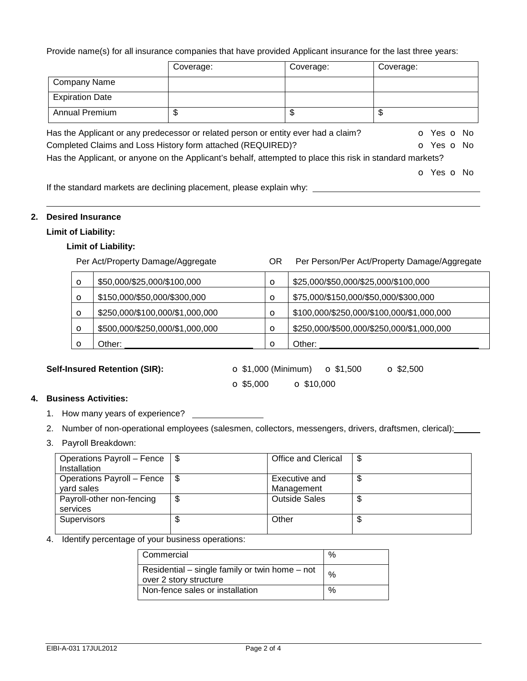Provide name(s) for all insurance companies that have provided Applicant insurance for the last three years:

|                        | Coverage:                                                                                                 | Coverage: | Coverage:  |
|------------------------|-----------------------------------------------------------------------------------------------------------|-----------|------------|
| <b>Company Name</b>    |                                                                                                           |           |            |
| <b>Expiration Date</b> |                                                                                                           |           |            |
| Annual Premium         | \$                                                                                                        | \$        | \$         |
|                        | Has the Applicant or any predecessor or related person or entity ever had a claim?                        |           | o Yes o No |
|                        | Completed Claims and Loss History form attached (REQUIRED)?                                               |           | O Yes O No |
|                        | Has the Applicant, or anyone on the Applicant's behalf, attempted to place this risk in standard markets? |           |            |
|                        |                                                                                                           |           | o Yes o No |
|                        | If the standard markets are declining placement, places evalors why                                       |           |            |

If the standard markets are declining placement, please explain why:

#### **2. Desired Insurance**

## **Limit of Liability:**

#### **Limit of Liability:**

 Per Act/Property Damage/Aggregate OR Per Person/Per Act/Property Damage/Aggregate  $\bullet$  \$50,000/\$25,000/\$100,000  $\bullet$   $\bullet$  \$25,000/\$50,000/\$25,000/\$100,000  $\bullet$  \$150,000/\$50,000/\$300,000  $\bullet$  \$75,000/\$150,000/\$50,000/\$300,000 o \$250,000/\$100,000/\$1,000,000 o \$100,000/\$250,000/\$100,000/\$1,000,000  $\bullet$  \$500,000/\$250,000/\$1,000,000  $\bullet$   $\bullet$  \$250,000/\$500,000/\$250,000/\$1,000,000 o Other:  $\vert$  O Other:

**Self-Insured Retention (SIR): <br>**  $\sigma$  **\$1,000 (Minimum)**  $\sigma$  **\$1,500**  $\sigma$  **\$2,500**  $\bullet$  \$5,000  $\bullet$  \$10,000

### **4. Business Activities:**

- 1. How many years of experience?
- 2. Number of non-operational employees (salesmen, collectors, messengers, drivers, draftsmen, clerical):
- 3. Payroll Breakdown:

| Operations Payroll – Fence | \$   | <b>Office and Clerical</b> | c |
|----------------------------|------|----------------------------|---|
| Installation               |      |                            |   |
| Operations Payroll – Fence | - \$ | Executive and              |   |
| vard sales                 |      | Management                 |   |
| Payroll-other non-fencing  | \$   | <b>Outside Sales</b>       |   |
| services                   |      |                            |   |
| <b>Supervisors</b>         | Φ    | Other                      |   |
|                            |      |                            |   |

4. Identify percentage of your business operations:

| Commercial                                                               | %    |
|--------------------------------------------------------------------------|------|
| Residential – single family or twin home – not<br>over 2 story structure | $\%$ |
| Non-fence sales or installation                                          | %    |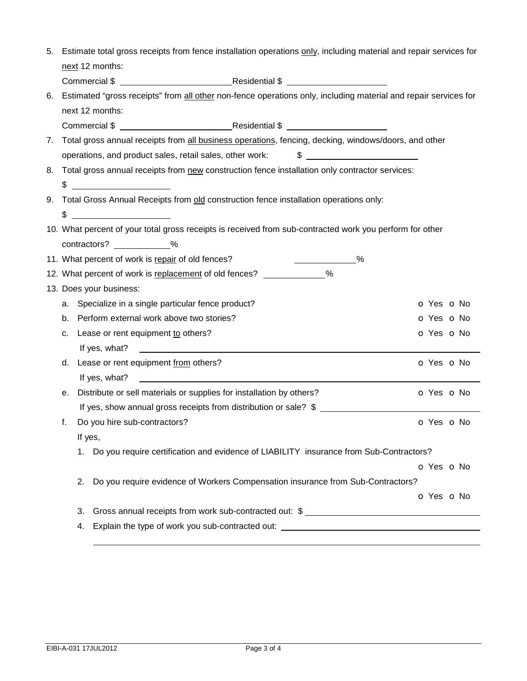| 5. |    | Estimate total gross receipts from fence installation operations only, including material and repair services for                                                                                                                                                                                                   |  |
|----|----|---------------------------------------------------------------------------------------------------------------------------------------------------------------------------------------------------------------------------------------------------------------------------------------------------------------------|--|
|    |    | next 12 months:                                                                                                                                                                                                                                                                                                     |  |
|    |    |                                                                                                                                                                                                                                                                                                                     |  |
| 6. |    | Estimated "gross receipts" from all other non-fence operations only, including material and repair services for                                                                                                                                                                                                     |  |
|    |    | next 12 months:                                                                                                                                                                                                                                                                                                     |  |
|    |    |                                                                                                                                                                                                                                                                                                                     |  |
| 7. |    | Total gross annual receipts from all business operations, fencing, decking, windows/doors, and other                                                                                                                                                                                                                |  |
|    |    |                                                                                                                                                                                                                                                                                                                     |  |
| 8. |    | Total gross annual receipts from new construction fence installation only contractor services:                                                                                                                                                                                                                      |  |
|    |    | $\frac{1}{2}$ $\frac{1}{2}$ $\frac{1}{2}$ $\frac{1}{2}$ $\frac{1}{2}$ $\frac{1}{2}$ $\frac{1}{2}$ $\frac{1}{2}$ $\frac{1}{2}$ $\frac{1}{2}$ $\frac{1}{2}$ $\frac{1}{2}$ $\frac{1}{2}$ $\frac{1}{2}$ $\frac{1}{2}$ $\frac{1}{2}$ $\frac{1}{2}$ $\frac{1}{2}$ $\frac{1}{2}$ $\frac{1}{2}$ $\frac{1}{2}$ $\frac{1}{2}$ |  |
|    |    | 9. Total Gross Annual Receipts from old construction fence installation operations only:                                                                                                                                                                                                                            |  |
|    |    | $\frac{1}{2}$                                                                                                                                                                                                                                                                                                       |  |
|    |    | 10. What percent of your total gross receipts is received from sub-contracted work you perform for other                                                                                                                                                                                                            |  |
|    |    | contractors? ___________%                                                                                                                                                                                                                                                                                           |  |
|    |    | 11. What percent of work is repair of old fences?<br>$\sim$ %                                                                                                                                                                                                                                                       |  |
|    |    | 12. What percent of work is replacement of old fences? _____________%                                                                                                                                                                                                                                               |  |
|    |    | 13. Does your business:                                                                                                                                                                                                                                                                                             |  |
|    |    | a. Specialize in a single particular fence product?<br>o Yes o No                                                                                                                                                                                                                                                   |  |
|    |    | b. Perform external work above two stories?<br>o Yes o No                                                                                                                                                                                                                                                           |  |
|    | c. | Lease or rent equipment to others?<br>o Yes o No                                                                                                                                                                                                                                                                    |  |
|    |    |                                                                                                                                                                                                                                                                                                                     |  |
|    |    | d. Lease or rent equipment from others?<br>o Yes o No                                                                                                                                                                                                                                                               |  |
|    |    | If yes, what?<br><u> 1989 - Johann Barbara, martin amerikan basal dan berasal dan berasal dan berasal dalam berasal dan berasal da</u>                                                                                                                                                                              |  |
|    | е. | Distribute or sell materials or supplies for installation by others?<br>o Yes o No                                                                                                                                                                                                                                  |  |
|    |    | If yes, show annual gross receipts from distribution or sale? \$                                                                                                                                                                                                                                                    |  |
|    | f. | Do you hire sub-contractors?<br>O Yes O No                                                                                                                                                                                                                                                                          |  |
|    |    | If yes,                                                                                                                                                                                                                                                                                                             |  |
|    |    | 1. Do you require certification and evidence of LIABILITY insurance from Sub-Contractors?                                                                                                                                                                                                                           |  |
|    |    | O Yes O No                                                                                                                                                                                                                                                                                                          |  |
|    |    | 2.<br>Do you require evidence of Workers Compensation insurance from Sub-Contractors?                                                                                                                                                                                                                               |  |
|    |    | O Yes O No                                                                                                                                                                                                                                                                                                          |  |
|    |    | Gross annual receipts from work sub-contracted out: \$<br>3.                                                                                                                                                                                                                                                        |  |
|    |    | Explain the type of work you sub-contracted out: _______________________________<br>4.                                                                                                                                                                                                                              |  |
|    |    |                                                                                                                                                                                                                                                                                                                     |  |